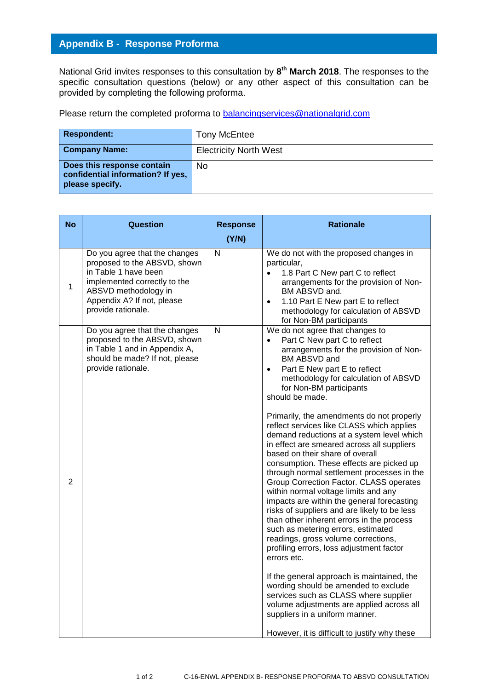## **Appendix B - Response Proforma**

National Grid invites responses to this consultation by **8 th March 2018**. The responses to the specific consultation questions (below) or any other aspect of this consultation can be provided by completing the following proforma.

Please return the completed proforma to [balancingservices@nationalgrid.com](mailto:balancingservices@nationalgrid.com)

| <b>Respondent:</b>                                                                 | <b>Tony McEntee</b>           |
|------------------------------------------------------------------------------------|-------------------------------|
| <b>Company Name:</b>                                                               | <b>Electricity North West</b> |
| Does this response contain<br>confidential information? If yes,<br>please specify. | No                            |

| <b>No</b>      | <b>Question</b>                                                                                                                                                                                   | <b>Response</b>         | <b>Rationale</b>                                                                                                                                                                                                                                                                                                                                                                                                                                                                                                                                                                                                                                                                                                                                                                                                                                                                                                                                                                                                                                                                                                                                                                                                    |
|----------------|---------------------------------------------------------------------------------------------------------------------------------------------------------------------------------------------------|-------------------------|---------------------------------------------------------------------------------------------------------------------------------------------------------------------------------------------------------------------------------------------------------------------------------------------------------------------------------------------------------------------------------------------------------------------------------------------------------------------------------------------------------------------------------------------------------------------------------------------------------------------------------------------------------------------------------------------------------------------------------------------------------------------------------------------------------------------------------------------------------------------------------------------------------------------------------------------------------------------------------------------------------------------------------------------------------------------------------------------------------------------------------------------------------------------------------------------------------------------|
|                |                                                                                                                                                                                                   | (Y/N)                   |                                                                                                                                                                                                                                                                                                                                                                                                                                                                                                                                                                                                                                                                                                                                                                                                                                                                                                                                                                                                                                                                                                                                                                                                                     |
| 1              | Do you agree that the changes<br>proposed to the ABSVD, shown<br>in Table 1 have been<br>implemented correctly to the<br>ABSVD methodology in<br>Appendix A? If not, please<br>provide rationale. | $\overline{\mathsf{N}}$ | We do not with the proposed changes in<br>particular,<br>1.8 Part C New part C to reflect<br>arrangements for the provision of Non-<br>BM ABSVD and.<br>1.10 Part E New part E to reflect<br>$\bullet$<br>methodology for calculation of ABSVD<br>for Non-BM participants                                                                                                                                                                                                                                                                                                                                                                                                                                                                                                                                                                                                                                                                                                                                                                                                                                                                                                                                           |
| $\overline{2}$ | Do you agree that the changes<br>proposed to the ABSVD, shown<br>in Table 1 and in Appendix A,<br>should be made? If not, please<br>provide rationale.                                            | $\mathsf{N}$            | We do not agree that changes to<br>Part C New part C to reflect<br>arrangements for the provision of Non-<br>BM ABSVD and<br>Part E New part E to reflect<br>$\bullet$<br>methodology for calculation of ABSVD<br>for Non-BM participants<br>should be made.<br>Primarily, the amendments do not properly<br>reflect services like CLASS which applies<br>demand reductions at a system level which<br>in effect are smeared across all suppliers<br>based on their share of overall<br>consumption. These effects are picked up<br>through normal settlement processes in the<br>Group Correction Factor. CLASS operates<br>within normal voltage limits and any<br>impacts are within the general forecasting<br>risks of suppliers and are likely to be less<br>than other inherent errors in the process<br>such as metering errors, estimated<br>readings, gross volume corrections,<br>profiling errors, loss adjustment factor<br>errors etc.<br>If the general approach is maintained, the<br>wording should be amended to exclude<br>services such as CLASS where supplier<br>volume adjustments are applied across all<br>suppliers in a uniform manner.<br>However, it is difficult to justify why these |